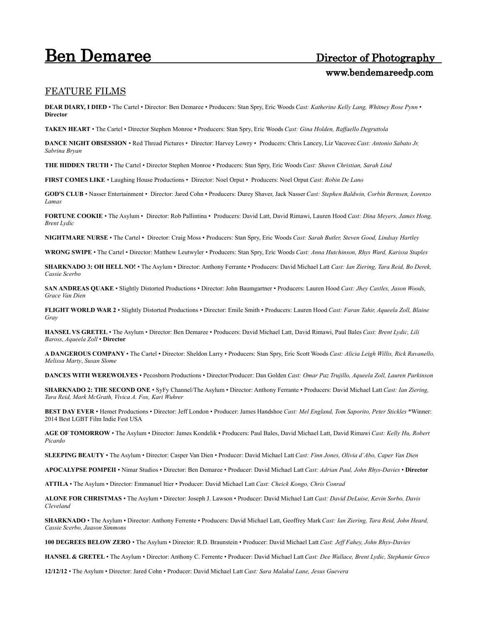## **Ben Demaree** Director of Photography

# www.bendemareedp.com

#### FEATURE FILMS

**DEAR DIARY, I DIED** • The Cartel • Director: Ben Demaree • Producers: Stan Spry, Eric Woods *Cast: Katherine Kelly Lang, Whitney Rose Pynn* • **Director**

**TAKEN HEART** • The Cartel • Director Stephen Monroe • Producers: Stan Spry, Eric Woods *Cast: Gina Holden, Raffaello Degruttola*

**DANCE NIGHT OBSESSION** • Red Thread Pictures • Director: Harvey Lowry • Producers: Chris Lancey, Liz Vacovec *Cast: Antonio Sabato Jr, Sabrina Bryan*

**THE HIDDEN TRUTH** • The Cartel • Director Stephen Monroe • Producers: Stan Spry, Eric Woods *Cast: Shawn Christian, Sarah Lind*

**FIRST COMES LIKE** • Laughing House Productions • Director: Noel Orput • Producers: Noel Orput *Cast: Robin De Lano*

**GOD'S CLUB** • Nasser Entertainment • Director: Jared Cohn • Producers: Durey Shaver, Jack Nasser *Cast: Stephen Baldwin, Corbin Bernsen, Lorenzo Lamas*

**FORTUNE COOKIE** • The Asylum • Director: Rob Pallintina • Producers: David Latt, David Rimawi, Lauren Hood *Cast: Dina Meyers, James Hong, Brent Lydic*

**NIGHTMARE NURSE** • The Cartel • Director: Craig Moss • Producers: Stan Spry, Eric Woods *Cast: Sarah Butler, Steven Good, Lindsay Hartley*

**WRONG SWIPE** • The Cartel • Director: Matthew Leutwyler • Producers: Stan Spry, Eric Woods *Cast: Anna Hutchinson, Rhys Ward, Karissa Staples*

**SHARKNADO 3: OH HELL NO!** • The Asylum • Director: Anthony Ferrante • Producers: David Michael Latt *Cast: Ian Ziering, Tara Reid, Bo Derek, Cassie Scerbo* 

**SAN ANDREAS QUAKE** • Slightly Distorted Productions • Director: John Baumgartner • Producers: Lauren Hood *Cast: Jhey Castles, Jason Woods, Grace Van Dien*

**FLIGHT WORLD WAR 2** • Slightly Distorted Productions • Director: Emile Smith • Producers: Lauren Hood *Cast: Faran Tahir, Aqueela Zoll, Blaine Gray*

**HANSEL VS GRETEL** • The Asylum • Director: Ben Demaree • Producers: David Michael Latt, David Rimawi, Paul Bales *Cast: Brent Lydic, Lili Baross, Aqueela Zoll* • **Director**

**A DANGEROUS COMPANY** • The Cartel • Director: Sheldon Larry • Producers: Stan Spry, Eric Scott Woods *Cast: Alicia Leigh Willis, Rick Ravanello, Melissa Marty*, *Susan Slome*

**DANCES WITH WEREWOLVES** • Pecosborn Productions • Director/Producer: Dan Golden *Cast: Omar Paz Trujillo, Aqueela Zoll, Lauren Parkinson*

**SHARKNADO 2: THE SECOND ONE** • SyFy Channel/The Asylum • Director: Anthony Ferrante • Producers: David Michael Latt *Cast: Ian Ziering, Tara Reid, Mark McGrath, Vivica A. Fox, Kari Wuhrer*

**BEST DAY EVER** • Hemet Productions • Director: Jeff London • Producer: James Handshoe *Cast: Mel England, Tom Saporito, Peter Stickles* \*Winner: 2014 Best LGBT Film Indie Fest USA

**AGE OF TOMORROW** • The Asylum • Director: James Kondelik • Producers: Paul Bales, David Michael Latt, David Rimawi *Cast: Kelly Hu, Robert Picardo*

**SLEEPING BEAUTY** • The Asylum • Director: Casper Van Dien • Producer: David Michael Latt *Cast: Finn Jones, Olivia d'Abo, Caper Van Dien*

**APOCALYPSE POMPEII** • Nimar Studios • Director: Ben Demaree • Producer: David Michael Latt *Cast: Adrian Paul, John Rhys-Davies* • **Director**

**ATTILA** • The Asylum • Director: Emmanuel Itier • Producer: David Michael Latt *Cast: Cheick Kongo, Chris Conrad*

**ALONE FOR CHRISTMAS** • The Asylum • Director: Joseph J. Lawson • Producer: David Michael Latt *Cast: David DeLuise, Kevin Sorbo, Davis Cleveland*

**SHARKNADO** • The Asylum • Director: Anthony Ferrente • Producers: David Michael Latt, Geoffrey Mark *Cast: Ian Ziering, Tara Reid, John Heard, Cassie Scerbo, Jaason Simmons*

**100 DEGREES BELOW ZERO** • The Asylum • Director: R.D. Braunstein • Producer: David Michael Latt *Cast: Jeff Fahey, John Rhys-Davies*

**HANSEL & GRETEL** • The Asylum • Director: Anthony C. Ferrente • Producer: David Michael Latt *Cast: Dee Wallace, Brent Lydic, Stephanie Greco*

**12/12/12** • The Asylum • Director: Jared Cohn • Producer: David Michael Latt *Cast: Sara Malakul Lane, Jesus Guevera*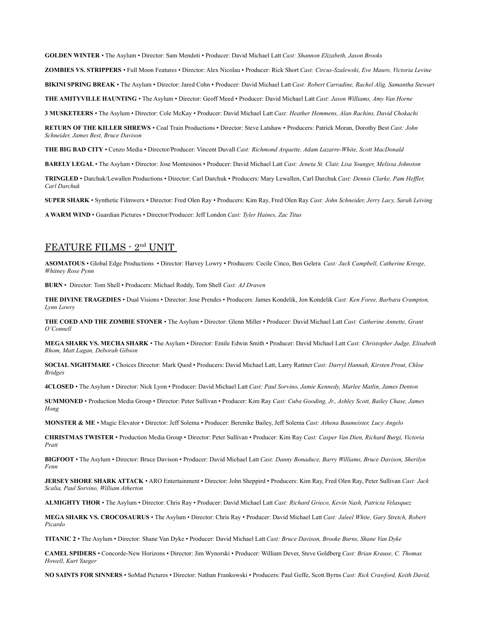**GOLDEN WINTER** • The Asylum • Director: Sam Mendoti • Producer: David Michael Latt *Cast: Shannon Elizabeth, Jason Brooks*

**ZOMBIES VS. STRIPPERS** • Full Moon Features • Director: Alex Nicolau • Producer: Rick Short *Cast: Circus-Szalewski, Eve Mauro, Victoria Levine*

**BIKINI SPRING BREAK** • The Asylum • Director: Jared Cohn • Producer: David Michael Latt *Cast: Robert Carradine, Rachel Alig, Samantha Stewart*

**THE AMITYVILLE HAUNTING** • The Asylum • Director: Geoff Meed • Producer: David Michael Latt *Cast: Jason Williams, Amy Van Horne*

**3 MUSKETEERS** • The Asylum • Director: Cole McKay • Producer: David Michael Latt *Cast: Heather Hemmens, Alan Rachins, David Chokachi*

**RETURN OF THE KILLER SHREWS** • Coal Train Productions • Director: Steve Latshaw • Producers: Patrick Moran, Dorothy Best *Cast: John Schneider, James Best, Bruce Davison*

**THE BIG BAD CITY** • Cenzo Media • Director/Producer: Vincent Duvall *Cast: Richmond Arquette, Adam Lazarre-White, Scott MacDonald*

**BARELY LEGAL** • The Asylum • Director: Jose Montesinos • Producer: David Michael Latt *Cast: Jeneta St. Clair, Lisa Younger, Melissa Johnston*

**TRINGLED** • Darchuk/Lewallen Productions • Director: Carl Darchuk • Producers: Mary Lewallen, Carl Darchuk *Cast: Dennis Clarke, Pam Heffler, Carl Darchuk*

**SUPER SHARK** • Synthetic Filmwerx • Director: Fred Olen Ray • Producers: Kim Ray, Fred Olen Ray *Cast: John Schneider, Jerry Lacy, Sarah Leiving*

**A WARM WIND** • Guardian Pictures • Director/Producer: Jeff London *Cast: Tyler Haines, Zac Titus*

### **FEATURE FILMS - 2<sup>nd</sup> UNIT**

**ASOMATOUS** • Global Edge Productions • Director: Harvey Lowry • Producers: Cecile Cinco, Ben Gelera *Cast: Jack Campbell, Catherine Kresge, Whitney Rose Pynn*

**BURN** • Director: Tom Shell • Producers: Michael Roddy, Tom Shell *Cast: AJ Draven*

**THE DIVINE TRAGEDIES** • Dual Visions • Director: Jose Prendes • Producers: James Kondelik, Jon Kondelik *Cast: Ken Foree, Barbara Crampton, Lynn Lowry*

**THE COED AND THE ZOMBIE STONER** • The Asylum • Director: Glenn Miller • Producer: David Michael Latt *Cast: Catherine Annette, Grant O'Connell*

**MEGA SHARK VS. MECHA SHARK** • The Asylum • Director: Emile Edwin Smith • Producer: David Michael Latt *Cast: Christopher Judge, Elisabeth Rhom, Matt Lagan, Deborah Gibson*

**SOCIAL NIGHTMARE** • Choices Director: Mark Quod • Producers: David Michael Latt, Larry Rattner *Cast: Darryl Hannah, Kirsten Prout, Chloe Bridges*

**4CLOSED** • The Asylum • Director: Nick Lyon • Producer: David Michael Latt *Cast: Paul Sorvino, Jamie Kennedy, Marlee Matlin, James Denton*

**SUMMONED** • Production Media Group • Director: Peter Sullivan • Producer: Kim Ray *Cast: Cuba Gooding, Jr., Ashley Scott, Bailey Chase, James Hong* 

**MONSTER & ME** • Magic Elevator • Director: Jeff Solema • Producer: Berenike Bailey, Jeff Solema *Cast: Athena Baumeister, Lucy Angelo*

**CHRISTMAS TWISTER** • Production Media Group • Director: Peter Sullivan • Producer: Kim Ray *Cast: Casper Van Dien, Richard Burgi, Victoria Pratt* 

**BIGFOOT** • The Asylum • Director: Bruce Davison • Producer: David Michael Latt *Cast: Danny Bonaduce, Barry Williams, Bruce Davison, Sherilyn Fenn* 

**JERSEY SHORE SHARK ATTACK** • ARO Entertainment • Director: John Sheppird • Producers: Kim Ray, Fred Olen Ray, Peter Sullivan *Cast: Jack Scalia, Paul Sorvino, William Atherton*

**ALMIGHTY THOR** • The Asylum • Director: Chris Ray • Producer: David Michael Latt *Cast: Richard Grieco, Kevin Nash, Patricia Velasquez*

**MEGA SHARK VS. CROCOSAURUS** • The Asylum • Director: Chris Ray • Producer: David Michael Latt *Cast: Jaleel White, Gary Stretch, Robert Picardo*

**TITANIC 2** • The Asylum • Director: Shane Van Dyke • Producer: David Michael Latt *Cast: Bruce Davison, Brooke Burns, Shane Van Dyke*

**CAMEL SPIDERS** • Concorde-New Horizons • Director: Jim Wynorski • Producer: William Dever, Steve Goldberg *Cast: Brian Krause, C. Thomas Howell, Kurt Yaeger*

**NO SAINTS FOR SINNERS** • SoMad Pictures • Director: Nathan Frankowski • Producers: Paul Geffe, Scott Byrns *Cast: Rick Crawford, Keith David,*